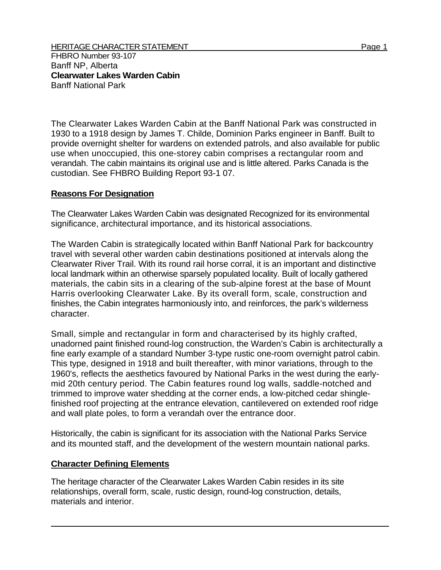The Clearwater Lakes Warden Cabin at the Banff National Park was constructed in 1930 to a 1918 design by James T. Childe, Dominion Parks engineer in Banff. Built to provide overnight shelter for wardens on extended patrols, and also available for public use when unoccupied, this one-storey cabin comprises a rectangular room and verandah. The cabin maintains its original use and is little altered. Parks Canada is the custodian. See FHBRO Building Report 93-1 07.

## **Reasons For Designation**

The Clearwater Lakes Warden Cabin was designated Recognized for its environmental significance, architectural importance, and its historical associations.

The Warden Cabin is strategically located within Banff National Park for backcountry travel with several other warden cabin destinations positioned at intervals along the Clearwater River Trail. With its round rail horse corral, it is an important and distinctive local landmark within an otherwise sparsely populated locality. Built of locally gathered materials, the cabin sits in a clearing of the sub-alpine forest at the base of Mount Harris overlooking Clearwater Lake. By its overall form, scale, construction and finishes, the Cabin integrates harmoniously into, and reinforces, the park's wilderness character.

Small, simple and rectangular in form and characterised by its highly crafted, unadorned paint finished round-log construction, the Warden's Cabin is architecturally a fine early example of a standard Number 3-type rustic one-room overnight patrol cabin. This type, designed in 1918 and built thereafter, with minor variations, through to the 1960's, reflects the aesthetics favoured by National Parks in the west during the earlymid 20th century period. The Cabin features round log walls, saddle-notched and trimmed to improve water shedding at the corner ends, a low-pitched cedar shinglefinished roof projecting at the entrance elevation, cantilevered on extended roof ridge and wall plate poles, to form a verandah over the entrance door.

Historically, the cabin is significant for its association with the National Parks Service and its mounted staff, and the development of the western mountain national parks.

## **Character Defining Elements**

The heritage character of the Clearwater Lakes Warden Cabin resides in its site relationships, overall form, scale, rustic design, round-log construction, details, materials and interior.